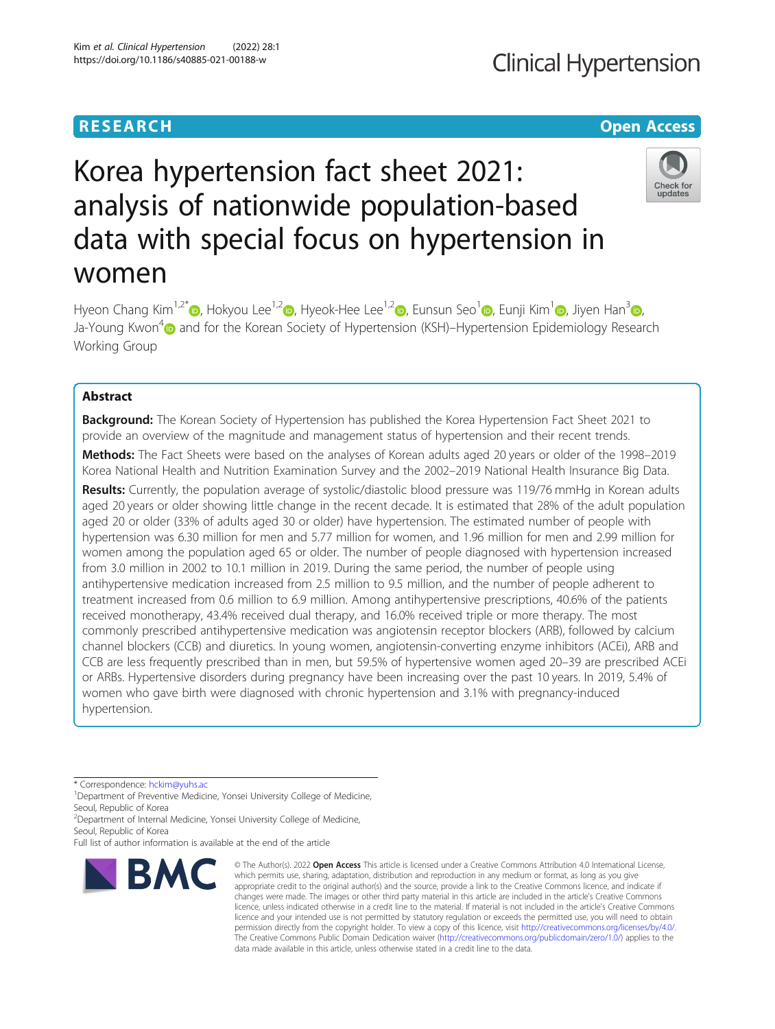# **Clinical Hypertension**

# **RESEARCH CHE Open Access**

# Korea hypertension fact sheet 2021: analysis of nationwide population-based data with special focus on hypertension in women



Hyeon Chang Kim<sup>1,2[\\*](http://orcid.org/0000-0001-7867-1240)</sup>  $\odot$ , Hokyou Lee<sup>1,[2](https://orcid.org/0000-0002-2895-6835)</sup>  $\odot$ [,](https://orcid.org/0000-0002-3020-7542) Hyeok-Hee Lee<sup>1,2</sup>  $\odot$ , Eunsun Seo<sup>1</sup>  $\odot$ , Eunji Kim<sup>1</sup>  $\odot$ , Jiyen Han<sup>3</sup>  $\odot$ , Ja-Young Kwon<sup>[4](https://orcid.org/0000-0003-3009-6325)</sup> and for the Korean Society of Hypertension (KSH)–Hypertension Epidemiology Research Working Group

# Abstract

**Background:** The Korean Society of Hypertension has published the Korea Hypertension Fact Sheet 2021 to provide an overview of the magnitude and management status of hypertension and their recent trends.

Methods: The Fact Sheets were based on the analyses of Korean adults aged 20 years or older of the 1998–2019 Korea National Health and Nutrition Examination Survey and the 2002–2019 National Health Insurance Big Data.

Results: Currently, the population average of systolic/diastolic blood pressure was 119/76 mmHg in Korean adults aged 20 years or older showing little change in the recent decade. It is estimated that 28% of the adult population aged 20 or older (33% of adults aged 30 or older) have hypertension. The estimated number of people with hypertension was 6.30 million for men and 5.77 million for women, and 1.96 million for men and 2.99 million for women among the population aged 65 or older. The number of people diagnosed with hypertension increased from 3.0 million in 2002 to 10.1 million in 2019. During the same period, the number of people using antihypertensive medication increased from 2.5 million to 9.5 million, and the number of people adherent to treatment increased from 0.6 million to 6.9 million. Among antihypertensive prescriptions, 40.6% of the patients received monotherapy, 43.4% received dual therapy, and 16.0% received triple or more therapy. The most commonly prescribed antihypertensive medication was angiotensin receptor blockers (ARB), followed by calcium channel blockers (CCB) and diuretics. In young women, angiotensin-converting enzyme inhibitors (ACEi), ARB and CCB are less frequently prescribed than in men, but 59.5% of hypertensive women aged 20–39 are prescribed ACEi or ARBs. Hypertensive disorders during pregnancy have been increasing over the past 10 years. In 2019, 5.4% of women who gave birth were diagnosed with chronic hypertension and 3.1% with pregnancy-induced hypertension.

\* Correspondence: [hckim@yuhs.ac](mailto:hckim@yuhs.ac) <sup>1</sup>

<sup>1</sup>Department of Preventive Medicine, Yonsei University College of Medicine, Seoul, Republic of Korea

<sup>2</sup> Department of Internal Medicine, Yonsei University College of Medicine, Seoul, Republic of Korea

Full list of author information is available at the end of the article



<sup>©</sup> The Author(s), 2022 **Open Access** This article is licensed under a Creative Commons Attribution 4.0 International License, which permits use, sharing, adaptation, distribution and reproduction in any medium or format, as long as you give appropriate credit to the original author(s) and the source, provide a link to the Creative Commons licence, and indicate if changes were made. The images or other third party material in this article are included in the article's Creative Commons licence, unless indicated otherwise in a credit line to the material. If material is not included in the article's Creative Commons licence and your intended use is not permitted by statutory regulation or exceeds the permitted use, you will need to obtain permission directly from the copyright holder. To view a copy of this licence, visit [http://creativecommons.org/licenses/by/4.0/.](http://creativecommons.org/licenses/by/4.0/) The Creative Commons Public Domain Dedication waiver [\(http://creativecommons.org/publicdomain/zero/1.0/](http://creativecommons.org/publicdomain/zero/1.0/)) applies to the data made available in this article, unless otherwise stated in a credit line to the data.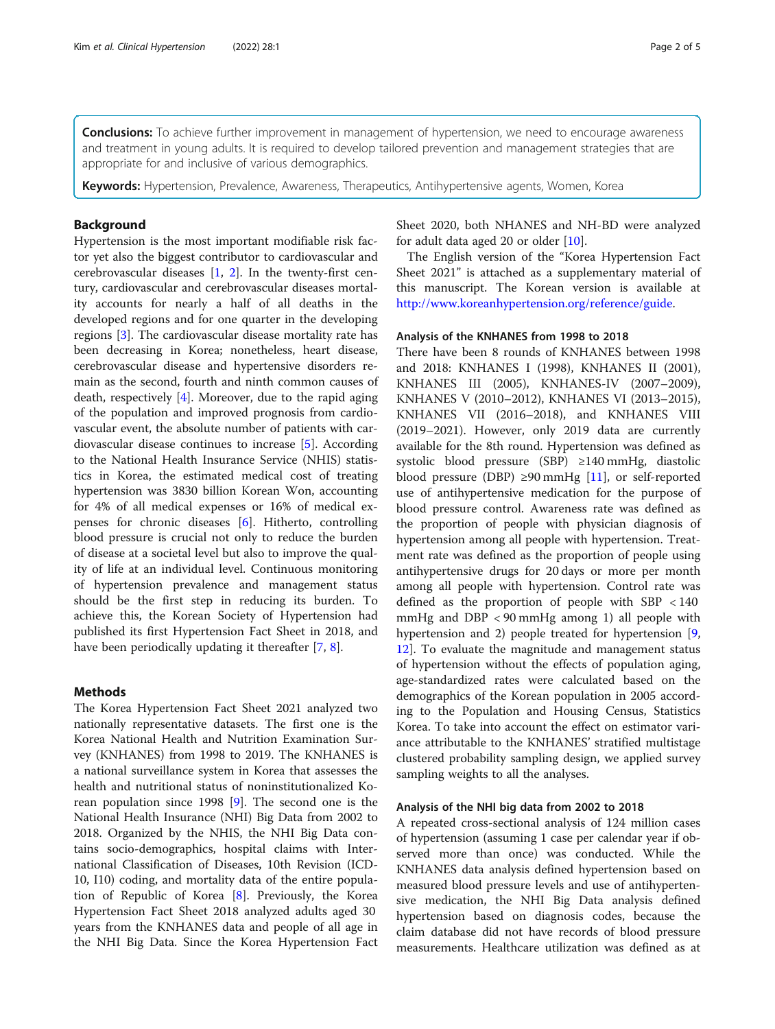**Conclusions:** To achieve further improvement in management of hypertension, we need to encourage awareness and treatment in young adults. It is required to develop tailored prevention and management strategies that are appropriate for and inclusive of various demographics.

Keywords: Hypertension, Prevalence, Awareness, Therapeutics, Antihypertensive agents, Women, Korea

## Background

Hypertension is the most important modifiable risk factor yet also the biggest contributor to cardiovascular and cerebrovascular diseases  $[1, 2]$  $[1, 2]$  $[1, 2]$  $[1, 2]$  $[1, 2]$ . In the twenty-first century, cardiovascular and cerebrovascular diseases mortality accounts for nearly a half of all deaths in the developed regions and for one quarter in the developing regions [[3](#page-4-0)]. The cardiovascular disease mortality rate has been decreasing in Korea; nonetheless, heart disease, cerebrovascular disease and hypertensive disorders remain as the second, fourth and ninth common causes of death, respectively [[4\]](#page-4-0). Moreover, due to the rapid aging of the population and improved prognosis from cardiovascular event, the absolute number of patients with cardiovascular disease continues to increase [\[5](#page-4-0)]. According to the National Health Insurance Service (NHIS) statistics in Korea, the estimated medical cost of treating hypertension was 3830 billion Korean Won, accounting for 4% of all medical expenses or 16% of medical expenses for chronic diseases [\[6](#page-4-0)]. Hitherto, controlling blood pressure is crucial not only to reduce the burden of disease at a societal level but also to improve the quality of life at an individual level. Continuous monitoring of hypertension prevalence and management status should be the first step in reducing its burden. To achieve this, the Korean Society of Hypertension had published its first Hypertension Fact Sheet in 2018, and have been periodically updating it thereafter [[7,](#page-4-0) [8\]](#page-4-0).

#### Methods

The Korea Hypertension Fact Sheet 2021 analyzed two nationally representative datasets. The first one is the Korea National Health and Nutrition Examination Survey (KNHANES) from 1998 to 2019. The KNHANES is a national surveillance system in Korea that assesses the health and nutritional status of noninstitutionalized Korean population since 1998 [[9\]](#page-4-0). The second one is the National Health Insurance (NHI) Big Data from 2002 to 2018. Organized by the NHIS, the NHI Big Data contains socio-demographics, hospital claims with International Classification of Diseases, 10th Revision (ICD-10, I10) coding, and mortality data of the entire population of Republic of Korea [\[8](#page-4-0)]. Previously, the Korea Hypertension Fact Sheet 2018 analyzed adults aged 30 years from the KNHANES data and people of all age in the NHI Big Data. Since the Korea Hypertension Fact Sheet 2020, both NHANES and NH-BD were analyzed for adult data aged 20 or older [\[10](#page-4-0)].

The English version of the "Korea Hypertension Fact Sheet 2021" is attached as a supplementary material of this manuscript. The Korean version is available at <http://www.koreanhypertension.org/reference/guide>.

#### Analysis of the KNHANES from 1998 to 2018

There have been 8 rounds of KNHANES between 1998 and 2018: KNHANES I (1998), KNHANES II (2001), KNHANES III (2005), KNHANES-IV (2007–2009), KNHANES V (2010–2012), KNHANES VI (2013–2015), KNHANES VII (2016–2018), and KNHANES VIII (2019–2021). However, only 2019 data are currently available for the 8th round. Hypertension was defined as systolic blood pressure (SBP) ≥140 mmHg, diastolic blood pressure (DBP)  $\geq$ 90 mmHg [[11\]](#page-4-0), or self-reported use of antihypertensive medication for the purpose of blood pressure control. Awareness rate was defined as the proportion of people with physician diagnosis of hypertension among all people with hypertension. Treatment rate was defined as the proportion of people using antihypertensive drugs for 20 days or more per month among all people with hypertension. Control rate was defined as the proportion of people with SBP < 140 mmHg and DBP < 90 mmHg among 1) all people with hypertension and 2) people treated for hypertension [[9](#page-4-0), [12\]](#page-4-0). To evaluate the magnitude and management status of hypertension without the effects of population aging, age-standardized rates were calculated based on the demographics of the Korean population in 2005 according to the Population and Housing Census, Statistics Korea. To take into account the effect on estimator variance attributable to the KNHANES' stratified multistage clustered probability sampling design, we applied survey sampling weights to all the analyses.

#### Analysis of the NHI big data from 2002 to 2018

A repeated cross-sectional analysis of 124 million cases of hypertension (assuming 1 case per calendar year if observed more than once) was conducted. While the KNHANES data analysis defined hypertension based on measured blood pressure levels and use of antihypertensive medication, the NHI Big Data analysis defined hypertension based on diagnosis codes, because the claim database did not have records of blood pressure measurements. Healthcare utilization was defined as at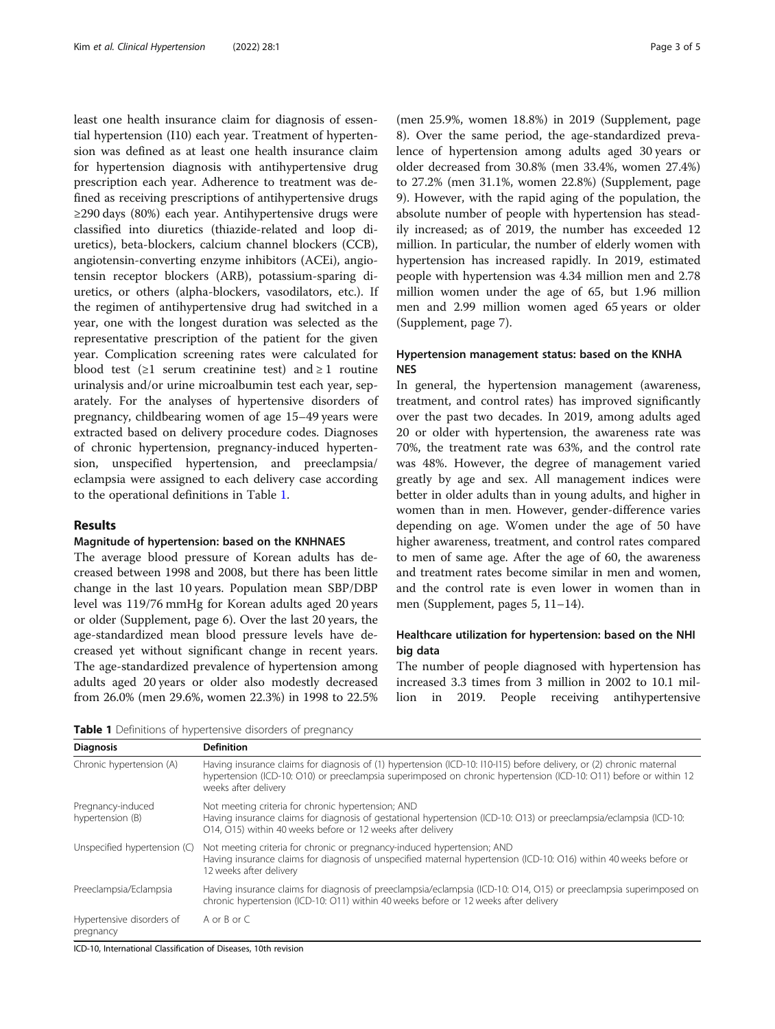least one health insurance claim for diagnosis of essential hypertension (I10) each year. Treatment of hypertension was defined as at least one health insurance claim for hypertension diagnosis with antihypertensive drug prescription each year. Adherence to treatment was defined as receiving prescriptions of antihypertensive drugs ≥290 days (80%) each year. Antihypertensive drugs were classified into diuretics (thiazide-related and loop diuretics), beta-blockers, calcium channel blockers (CCB), angiotensin-converting enzyme inhibitors (ACEi), angiotensin receptor blockers (ARB), potassium-sparing diuretics, or others (alpha-blockers, vasodilators, etc.). If the regimen of antihypertensive drug had switched in a year, one with the longest duration was selected as the representative prescription of the patient for the given year. Complication screening rates were calculated for blood test ( $\geq 1$  serum creatinine test) and  $\geq 1$  routine urinalysis and/or urine microalbumin test each year, separately. For the analyses of hypertensive disorders of pregnancy, childbearing women of age 15–49 years were extracted based on delivery procedure codes. Diagnoses of chronic hypertension, pregnancy-induced hypertension, unspecified hypertension, and preeclampsia/ eclampsia were assigned to each delivery case according to the operational definitions in Table 1.

## Results

#### Magnitude of hypertension: based on the KNHNAES

The average blood pressure of Korean adults has decreased between 1998 and 2008, but there has been little change in the last 10 years. Population mean SBP/DBP level was 119/76 mmHg for Korean adults aged 20 years or older (Supplement, page 6). Over the last 20 years, the age-standardized mean blood pressure levels have decreased yet without significant change in recent years. The age-standardized prevalence of hypertension among adults aged 20 years or older also modestly decreased from 26.0% (men 29.6%, women 22.3%) in 1998 to 22.5%

(men 25.9%, women 18.8%) in 2019 (Supplement, page 8). Over the same period, the age-standardized prevalence of hypertension among adults aged 30 years or older decreased from 30.8% (men 33.4%, women 27.4%) to 27.2% (men 31.1%, women 22.8%) (Supplement, page 9). However, with the rapid aging of the population, the absolute number of people with hypertension has steadily increased; as of 2019, the number has exceeded 12 million. In particular, the number of elderly women with hypertension has increased rapidly. In 2019, estimated people with hypertension was 4.34 million men and 2.78 million women under the age of 65, but 1.96 million men and 2.99 million women aged 65 years or older (Supplement, page 7).

# Hypertension management status: based on the KNHA NES

In general, the hypertension management (awareness, treatment, and control rates) has improved significantly over the past two decades. In 2019, among adults aged 20 or older with hypertension, the awareness rate was 70%, the treatment rate was 63%, and the control rate was 48%. However, the degree of management varied greatly by age and sex. All management indices were better in older adults than in young adults, and higher in women than in men. However, gender-difference varies depending on age. Women under the age of 50 have higher awareness, treatment, and control rates compared to men of same age. After the age of 60, the awareness and treatment rates become similar in men and women, and the control rate is even lower in women than in men (Supplement, pages 5, 11–14).

# Healthcare utilization for hypertension: based on the NHI big data

The number of people diagnosed with hypertension has increased 3.3 times from 3 million in 2002 to 10.1 million in 2019. People receiving antihypertensive

Table 1 Definitions of hypertensive disorders of pregnancy

| <b>Diagnosis</b>                       | <b>Definition</b>                                                                                                                                                                                                                                                 |
|----------------------------------------|-------------------------------------------------------------------------------------------------------------------------------------------------------------------------------------------------------------------------------------------------------------------|
| Chronic hypertension (A)               | Having insurance claims for diagnosis of (1) hypertension (ICD-10: 110-115) before delivery, or (2) chronic maternal<br>hypertension (ICD-10: O10) or preeclampsia superimposed on chronic hypertension (ICD-10: O11) before or within 12<br>weeks after delivery |
| Pregnancy-induced<br>hypertension (B)  | Not meeting criteria for chronic hypertension; AND<br>Having insurance claims for diagnosis of gestational hypertension (ICD-10: O13) or preeclampsia/eclampsia (ICD-10:<br>O14, O15) within 40 weeks before or 12 weeks after delivery                           |
| Unspecified hypertension (C)           | Not meeting criteria for chronic or pregnancy-induced hypertension; AND<br>Having insurance claims for diagnosis of unspecified maternal hypertension (ICD-10: O16) within 40 weeks before or<br>12 weeks after delivery                                          |
| Preeclampsia/Eclampsia                 | Having insurance claims for diagnosis of preeclampsia/eclampsia (ICD-10: 014, 015) or preeclampsia superimposed on<br>chronic hypertension (ICD-10: O11) within 40 weeks before or 12 weeks after delivery                                                        |
| Hypertensive disorders of<br>pregnancy | A or B or C                                                                                                                                                                                                                                                       |
|                                        |                                                                                                                                                                                                                                                                   |

ICD-10, International Classification of Diseases, 10th revision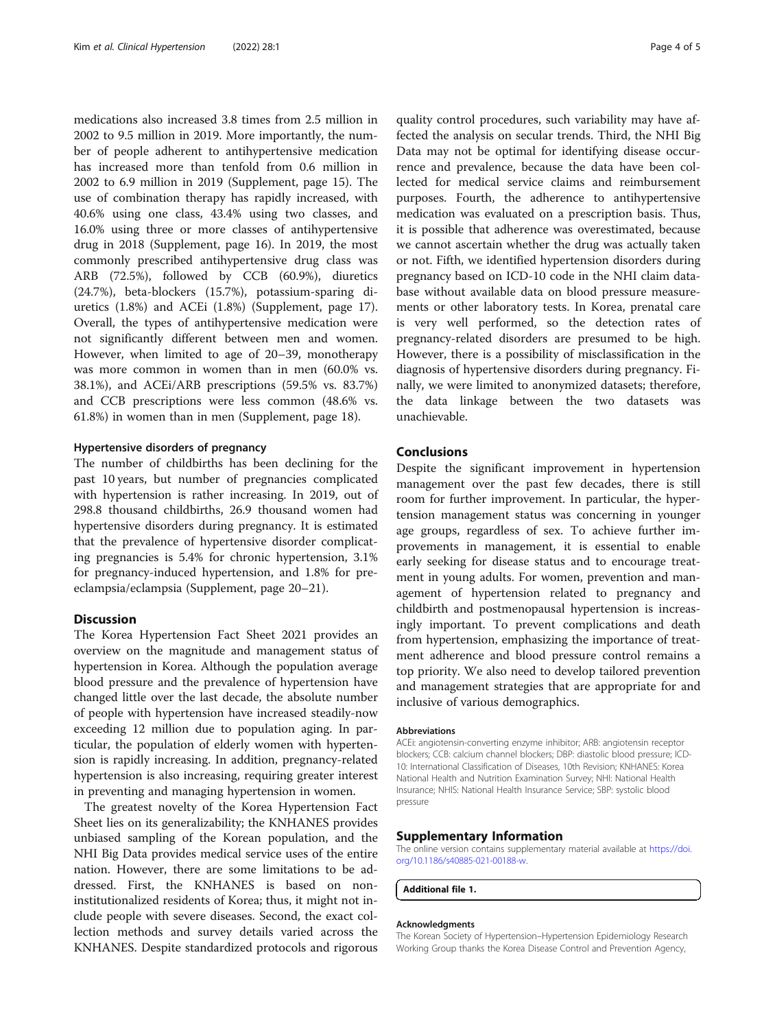medications also increased 3.8 times from 2.5 million in 2002 to 9.5 million in 2019. More importantly, the number of people adherent to antihypertensive medication has increased more than tenfold from 0.6 million in 2002 to 6.9 million in 2019 (Supplement, page 15). The use of combination therapy has rapidly increased, with 40.6% using one class, 43.4% using two classes, and 16.0% using three or more classes of antihypertensive drug in 2018 (Supplement, page 16). In 2019, the most commonly prescribed antihypertensive drug class was ARB (72.5%), followed by CCB (60.9%), diuretics (24.7%), beta-blockers (15.7%), potassium-sparing diuretics (1.8%) and ACEi (1.8%) (Supplement, page 17). Overall, the types of antihypertensive medication were not significantly different between men and women. However, when limited to age of 20–39, monotherapy was more common in women than in men (60.0% vs. 38.1%), and ACEi/ARB prescriptions (59.5% vs. 83.7%) and CCB prescriptions were less common (48.6% vs. 61.8%) in women than in men (Supplement, page 18).

#### Hypertensive disorders of pregnancy

The number of childbirths has been declining for the past 10 years, but number of pregnancies complicated with hypertension is rather increasing. In 2019, out of 298.8 thousand childbirths, 26.9 thousand women had hypertensive disorders during pregnancy. It is estimated that the prevalence of hypertensive disorder complicating pregnancies is 5.4% for chronic hypertension, 3.1% for pregnancy-induced hypertension, and 1.8% for preeclampsia/eclampsia (Supplement, page 20–21).

### **Discussion**

The Korea Hypertension Fact Sheet 2021 provides an overview on the magnitude and management status of hypertension in Korea. Although the population average blood pressure and the prevalence of hypertension have changed little over the last decade, the absolute number of people with hypertension have increased steadily-now exceeding 12 million due to population aging. In particular, the population of elderly women with hypertension is rapidly increasing. In addition, pregnancy-related hypertension is also increasing, requiring greater interest in preventing and managing hypertension in women.

The greatest novelty of the Korea Hypertension Fact Sheet lies on its generalizability; the KNHANES provides unbiased sampling of the Korean population, and the NHI Big Data provides medical service uses of the entire nation. However, there are some limitations to be addressed. First, the KNHANES is based on noninstitutionalized residents of Korea; thus, it might not include people with severe diseases. Second, the exact collection methods and survey details varied across the KNHANES. Despite standardized protocols and rigorous

quality control procedures, such variability may have affected the analysis on secular trends. Third, the NHI Big Data may not be optimal for identifying disease occurrence and prevalence, because the data have been collected for medical service claims and reimbursement purposes. Fourth, the adherence to antihypertensive medication was evaluated on a prescription basis. Thus, it is possible that adherence was overestimated, because we cannot ascertain whether the drug was actually taken or not. Fifth, we identified hypertension disorders during pregnancy based on ICD-10 code in the NHI claim database without available data on blood pressure measurements or other laboratory tests. In Korea, prenatal care is very well performed, so the detection rates of pregnancy-related disorders are presumed to be high. However, there is a possibility of misclassification in the diagnosis of hypertensive disorders during pregnancy. Finally, we were limited to anonymized datasets; therefore, the data linkage between the two datasets was unachievable.

#### Conclusions

Despite the significant improvement in hypertension management over the past few decades, there is still room for further improvement. In particular, the hypertension management status was concerning in younger age groups, regardless of sex. To achieve further improvements in management, it is essential to enable early seeking for disease status and to encourage treatment in young adults. For women, prevention and management of hypertension related to pregnancy and childbirth and postmenopausal hypertension is increasingly important. To prevent complications and death from hypertension, emphasizing the importance of treatment adherence and blood pressure control remains a top priority. We also need to develop tailored prevention and management strategies that are appropriate for and inclusive of various demographics.

#### Abbreviations

ACEi: angiotensin-converting enzyme inhibitor; ARB: angiotensin receptor blockers; CCB: calcium channel blockers; DBP: diastolic blood pressure; ICD-10: International Classification of Diseases, 10th Revision; KNHANES: Korea National Health and Nutrition Examination Survey; NHI: National Health Insurance; NHIS: National Health Insurance Service; SBP: systolic blood pressure

#### Supplementary Information

The online version contains supplementary material available at [https://doi.](https://doi.org/10.1186/s40885-021-00188-w) [org/10.1186/s40885-021-00188-w](https://doi.org/10.1186/s40885-021-00188-w).

Additional file 1.

#### Acknowledgments

The Korean Society of Hypertension–Hypertension Epidemiology Research Working Group thanks the Korea Disease Control and Prevention Agency,